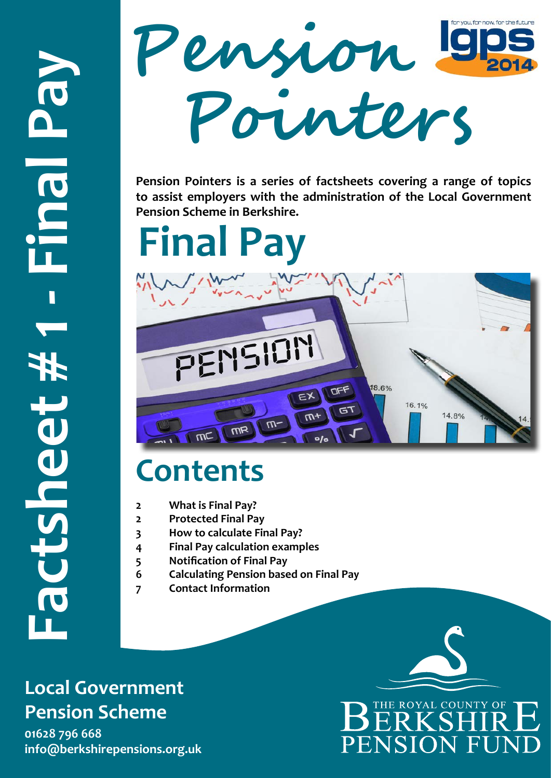

**Pension Pointers is a series of factsheets covering a range of topics to assist employers with the administration of the Local Government Pension Scheme in Berkshire.** 

**Final Pay**



# **Contents**

- **2 What is Final Pay?**
- **2 Protected Final Pay**
- **3 How to calculate Final Pay?**
- **4 Final Pay calculation examples**
- **5 Notification of Final Pay**
- **6 Calculating Pension based on Final Pay**
- **7 Contact Information**

### **Local Government Pension Scheme**

**01628 796 668** 

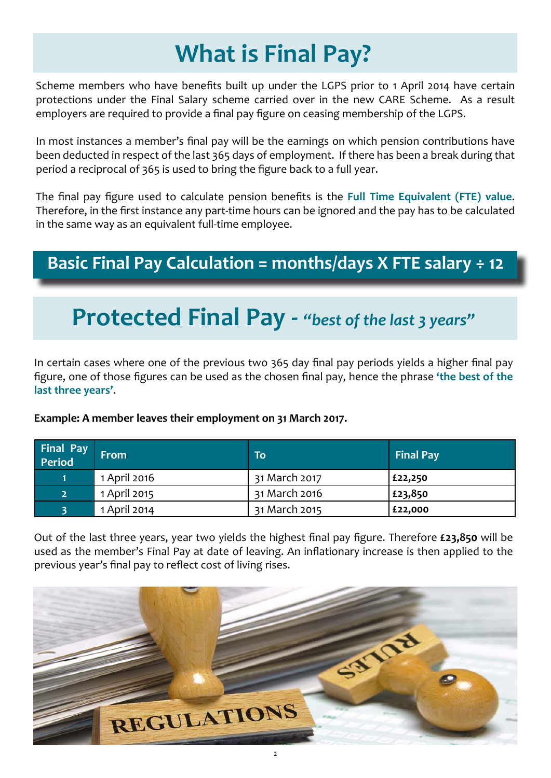### **What is Final Pay?**

Scheme members who have benefits built up under the LGPS prior to 1 April 2014 have certain protections under the Final Salary scheme carried over in the new CARE Scheme. As a result employers are required to provide a final pay figure on ceasing membership of the LGPS.

In most instances a member's final pay will be the earnings on which pension contributions have been deducted in respect of the last 365 days of employment. If there has been a break during that period a reciprocal of 365 is used to bring the figure back to a full year.

The final pay figure used to calculate pension benefits is the **Full Time Equivalent (FTE) value**. Therefore, in the first instance any part-time hours can be ignored and the pay has to be calculated in the same way as an equivalent full-time employee.

### **Basic Final Pay Calculation = months/days X FTE salary ÷ 12**

### **Protected Final Pay -** *"best of the last 3 years"*

In certain cases where one of the previous two 365 day final pay periods yields a higher final pay figure, one of those figures can be used as the chosen final pay, hence the phrase **'the best of the last three years'**.

**Example: A member leaves their employment on 31 March 2017.** 

| Final Pay<br>Period | <b>From</b>  | To            | <b>Final Pay</b> |
|---------------------|--------------|---------------|------------------|
|                     | 1 April 2016 | 31 March 2017 | £22,250          |
| 2 <sup>1</sup>      | 1 April 2015 | 31 March 2016 | £23,850          |
|                     | 1 April 2014 | 31 March 2015 | £22,000          |

Out of the last three years, year two yields the highest final pay figure. Therefore **£23,850** will be used as the member's Final Pay at date of leaving. An inflationary increase is then applied to the previous year's final pay to reflect cost of living rises.

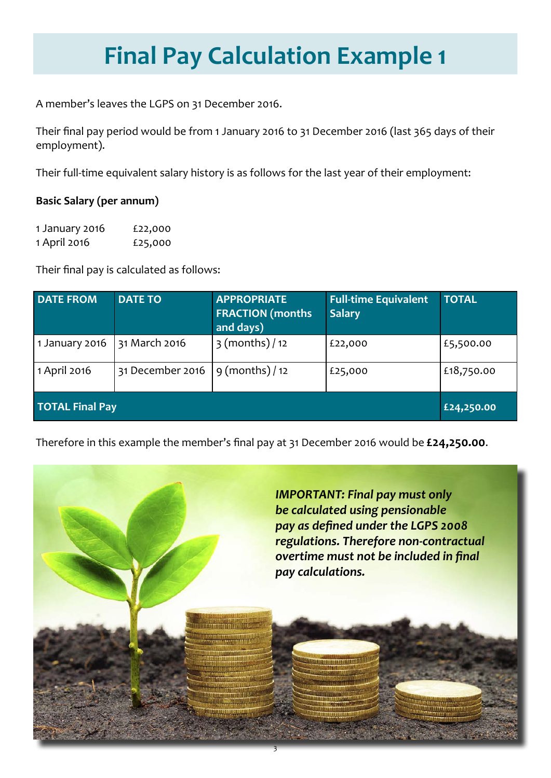## **Final Pay Calculation Example 1**

A member's leaves the LGPS on 31 December 2016.

Their final pay period would be from 1 January 2016 to 31 December 2016 (last 365 days of their employment).

Their full-time equivalent salary history is as follows for the last year of their employment:

#### **Basic Salary (per annum)**

| 1 January 2016 | £22,000 |
|----------------|---------|
| 1 April 2016   | £25,000 |

Their final pay is calculated as follows:

| <b>DATE FROM</b>       | <b>DATE TO</b>   | <b>APPROPRIATE</b><br><b>FRACTION (months)</b><br>and days) | <b>Full-time Equivalent</b><br><b>Salary</b> | <b>TOTAL</b> |
|------------------------|------------------|-------------------------------------------------------------|----------------------------------------------|--------------|
| 1 January 2016         | 31 March 2016    | $3$ (months) / 12                                           | £22,000                                      | £5,500.00    |
| 1 April 2016           | 31 December 2016 | $9 \text{ (months)} / 12$                                   | £25,000                                      | £18,750.00   |
| <b>TOTAL Final Pay</b> |                  |                                                             |                                              | £24,250.00   |

Therefore in this example the member's final pay at 31 December 2016 would be **£24,250.00**.

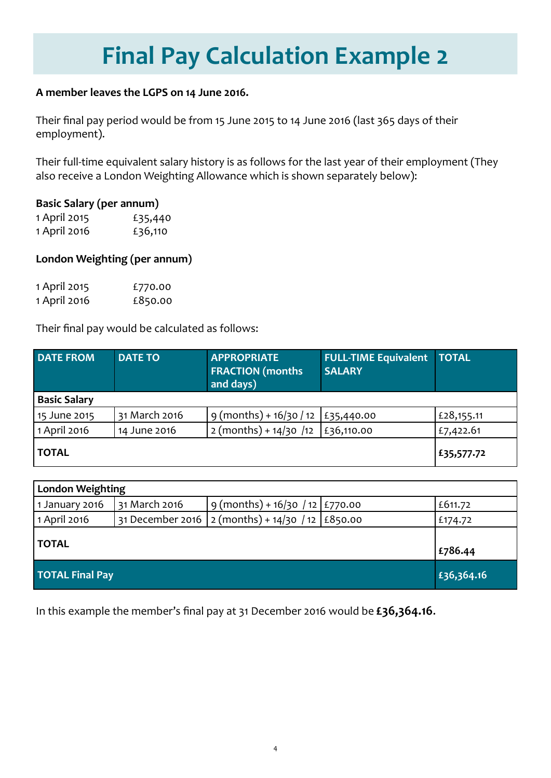### **Final Pay Calculation Example 2**

#### **A member leaves the LGPS on 14 June 2016.**

Their final pay period would be from 15 June 2015 to 14 June 2016 (last 365 days of their employment).

Their full-time equivalent salary history is as follows for the last year of their employment (They also receive a London Weighting Allowance which is shown separately below):

#### **Basic Salary (per annum)**

| 1 April 2015 | £35,440 |
|--------------|---------|
| 1 April 2016 | £36,110 |

#### **London Weighting (per annum)**

| 1 April 2015 | £770.00 |
|--------------|---------|
| 1 April 2016 | £850.00 |

Their final pay would be calculated as follows:

| <b>DATE FROM</b>    | <b>DATE TO</b> | <b>APPROPRIATE</b><br><b>FRACTION</b> (months<br>and days) | <b>FULL-TIME Equivalent</b><br><b>SALARY</b> | <b>TOTAL</b> |
|---------------------|----------------|------------------------------------------------------------|----------------------------------------------|--------------|
| <b>Basic Salary</b> |                |                                                            |                                              |              |
| 15 June 2015        | 31 March 2016  | 9 (months) + 16/30 / 12   £35,440.00                       |                                              | £28,155.11   |
| 1 April 2016        | 14 June 2016   | $2 (months) + 14/30 /12$   £36,110.00                      |                                              | £7,422.61    |
| <b>TOTAL</b>        |                |                                                            |                                              | £35,577.72   |

| <b>London Weighting</b> |               |                                                    |            |
|-------------------------|---------------|----------------------------------------------------|------------|
| 1 January 2016          | 31 March 2016 | $9 (months) + 16/30 / 12   £770.00$                | £611.72    |
| 1 April 2016            |               | 31 December 2016 2 (months) + 14/30 / 12   £850.00 | £174.72    |
| <b>TOTAL</b>            |               |                                                    | £786.44    |
| <b>TOTAL Final Pay</b>  |               |                                                    | £36,364.16 |

In this example the member's final pay at 31 December 2016 would be **£36,364.16**.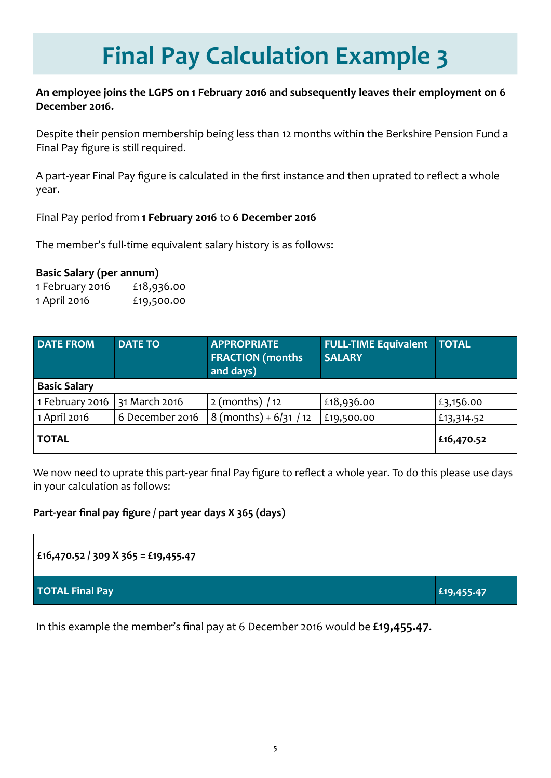## **Final Pay Calculation Example 3**

#### **An employee joins the LGPS on 1 February 2016 and subsequently leaves their employment on 6 December 2016.**

Despite their pension membership being less than 12 months within the Berkshire Pension Fund a Final Pay figure is still required.

A part-year Final Pay figure is calculated in the first instance and then uprated to reflect a whole year.

Final Pay period from **1 February 2016** to **6 December 2016** 

The member's full-time equivalent salary history is as follows:

#### **Basic Salary (per annum)**

1 February 2016 £18,936.00 1 April 2016 £19,500.00

| <b>DATE FROM</b>    | <b>DATE TO</b>  | <b>APPROPRIATE</b><br><b>FRACTION</b> (months<br>and days) | <b>FULL-TIME Equivalent</b><br><b>SALARY</b> | <b>TOTAL</b> |
|---------------------|-----------------|------------------------------------------------------------|----------------------------------------------|--------------|
| <b>Basic Salary</b> |                 |                                                            |                                              |              |
| 1 February 2016     | 31 March 2016   | $2$ (months) / 12                                          | £18,936.00                                   | £3,156.00    |
| 1 April 2016        | 6 December 2016 | $8 \text{ (months)} + 6/31 / 12$                           | £19,500.00                                   | £13,314.52   |
| <b>TOTAL</b>        |                 |                                                            |                                              | £16,470.52   |

We now need to uprate this part-year final Pay figure to reflect a whole year. To do this please use days in your calculation as follows:

#### **Part-year final pay figure / part year days X 365 (days)**

```
£16,470.52 / 309 X 365 = £19,455.47
```
**TOTAL Final Pay Expediation Contract Contract Contract Contract Contract Contract Contract Contract Contract Contract Contract Contract Contract Contract Contract Contract Contract Contract Contract Contract Contract Co** 

In this example the member's final pay at 6 December 2016 would be **£19,455.47**.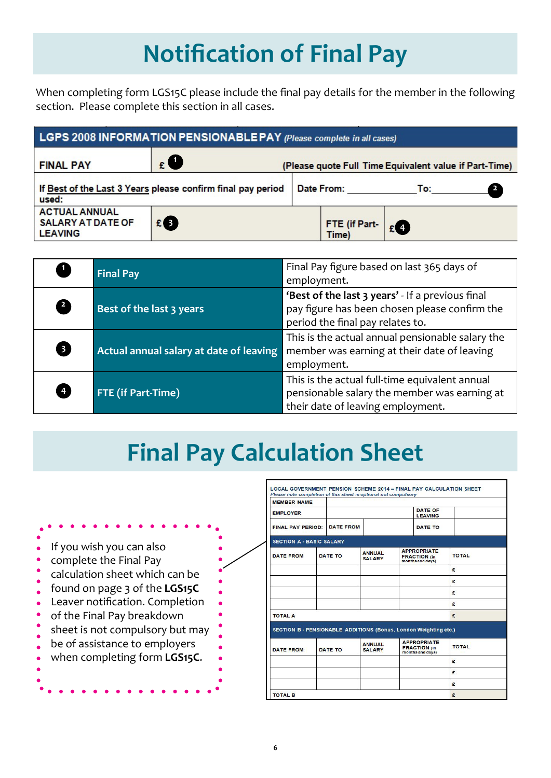### **Notification of Final Pay**

When completing form LGS15C please include the final pay details for the member in the following section. Please complete this section in all cases.

|                                                                    | LGPS 2008 INFORMATION PENSIONABLE PAY (Please complete in all cases) |                        |                                                        |  |
|--------------------------------------------------------------------|----------------------------------------------------------------------|------------------------|--------------------------------------------------------|--|
| <b>FINAL PAY</b>                                                   | $\epsilon$ O                                                         |                        | (Please quote Full Time Equivalent value if Part-Time) |  |
| used:                                                              | If Best of the Last 3 Years please confirm final pay period          | Date From:             | To: $\qquad \qquad$                                    |  |
| <b>ACTUAL ANNUAL</b><br><b>SALARY AT DATE OF</b><br><b>LEAVING</b> | £ B                                                                  | FTE (if Part-<br>Time) | $E$ <sup>4</sup>                                       |  |

|                                   | <b>Final Pay</b>                        | Final Pay figure based on last 365 days of<br>employment.                                                                             |
|-----------------------------------|-----------------------------------------|---------------------------------------------------------------------------------------------------------------------------------------|
| $\begin{bmatrix} 2 \end{bmatrix}$ | <b>Best of the last 3 years</b>         | 'Best of the last 3 years' - If a previous final<br>pay figure has been chosen please confirm the<br>period the final pay relates to. |
| 8                                 | Actual annual salary at date of leaving | This is the actual annual pensionable salary the<br>member was earning at their date of leaving<br>employment.                        |
| $\frac{4}{3}$                     | FTE (if Part-Time)                      | This is the actual full-time equivalent annual<br>pensionable salary the member was earning at<br>their date of leaving employment.   |

### **Final Pay Calculation Sheet**

| If you wish you can also<br>complete the Final Pay<br>calculation sheet which can be<br>found on page 3 of the LGS15C<br>Leaver notification. Completion<br>of the Final Pay breakdown<br>sheet is not compulsory but may<br>be of assistance to employers<br>when completing form LGS15C. |
|--------------------------------------------------------------------------------------------------------------------------------------------------------------------------------------------------------------------------------------------------------------------------------------------|
|--------------------------------------------------------------------------------------------------------------------------------------------------------------------------------------------------------------------------------------------------------------------------------------------|

| <b>MEMBER NAME</b>                                               |                  |                                |                                                               |              |
|------------------------------------------------------------------|------------------|--------------------------------|---------------------------------------------------------------|--------------|
| <b>EMPLOYER</b>                                                  |                  |                                | <b>DATE OF</b><br><b>LEAVING</b>                              |              |
| <b>FINAL PAY PERIOD:</b>                                         | <b>DATE FROM</b> |                                | <b>DATE TO</b>                                                |              |
| <b>SECTION A - BASIC SALARY</b>                                  |                  |                                |                                                               |              |
| <b>DATE FROM</b>                                                 | DATE TO          | <b>ANNUAL</b><br><b>SALARY</b> | <b>APPROPRIATE</b><br><b>FRACTION</b> (in<br>months and days) | <b>TOTAL</b> |
|                                                                  |                  |                                |                                                               | £            |
|                                                                  |                  |                                |                                                               | £            |
|                                                                  |                  |                                |                                                               | £            |
|                                                                  |                  |                                |                                                               | £            |
| <b>TOTAL A</b>                                                   |                  |                                |                                                               | £            |
| SECTION B - PENSIONABLE ADDITIONS (Bonus, London Weighting etc.) |                  |                                |                                                               |              |
| <b>DATE FROM</b>                                                 | <b>DATE TO</b>   | <b>ANNUAL</b><br><b>SALARY</b> | <b>APPROPRIATE</b><br><b>FRACTION</b> (in<br>months and days) | <b>TOTAL</b> |
|                                                                  |                  |                                |                                                               | £            |
|                                                                  |                  |                                |                                                               | £            |
|                                                                  |                  |                                |                                                               | £            |
| <b>TOTAL B</b>                                                   |                  |                                |                                                               | £            |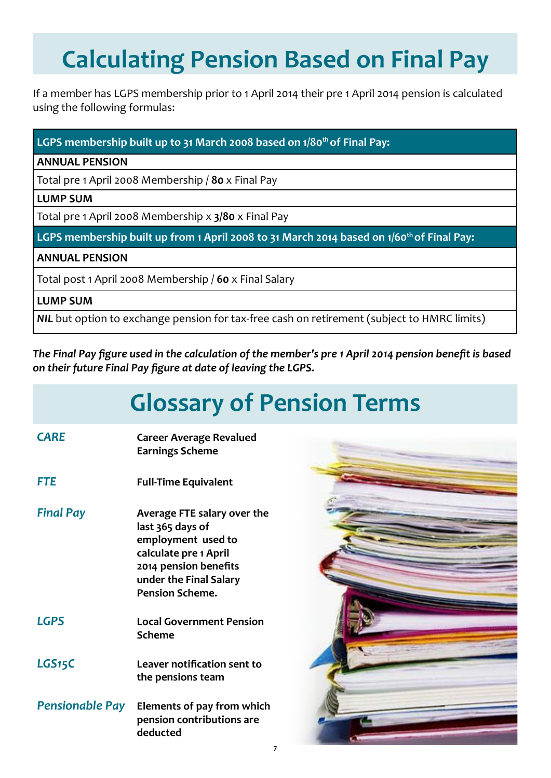## **Calculating Pension Based on Final Pay**

If a member has LGPS membership prior to 1 April 2014 their pre 1 April 2014 pension is calculated using the following formulas:

#### LGPS membership built up to 31 March 2008 based on 1/80<sup>th</sup> of Final Pay:

**ANNUAL PENSION**

Total pre 1 April 2008 Membership / **80** x Final Pay

#### **LUMP SUM**

Total pre 1 April 2008 Membership x **3/80** x Final Pay

**LGPS membership built up from 1 April 2008 to 31 March 2014 based on 1/60th of Final Pay:**

#### **ANNUAL PENSION**

Total post 1 April 2008 Membership / **60** x Final Salary

#### **LUMP SUM**

*NIL* but option to exchange pension for tax-free cash on retirement (subject to HMRC limits)

*The Final Pay figure used in the calculation of the member's pre 1 April 2014 pension benefit is based on their future Final Pay figure at date of leaving the LGPS.*

### **Glossary of Pension Terms**

| <b>CARE</b>      | <b>Career Average Revalued</b><br><b>Earnings Scheme</b>                                                                                                                    |
|------------------|-----------------------------------------------------------------------------------------------------------------------------------------------------------------------------|
| <b>FTE</b>       | <b>Full-Time Equivalent</b>                                                                                                                                                 |
| <b>Final Pay</b> | Average FTE salary over the<br>last 365 days of<br>employment used to<br>calculate pre 1 April<br>2014 pension benefits<br>under the Final Salary<br><b>Pension Scheme.</b> |
| <b>LGPS</b>      | <b>Local Government Pension</b><br><b>Scheme</b>                                                                                                                            |
| LGS15C           | Leaver notification sent to<br>the pensions team                                                                                                                            |
|                  | <b>Pensionable Pay</b> Elements of pay from which<br>pension contributions are<br>deducted                                                                                  |